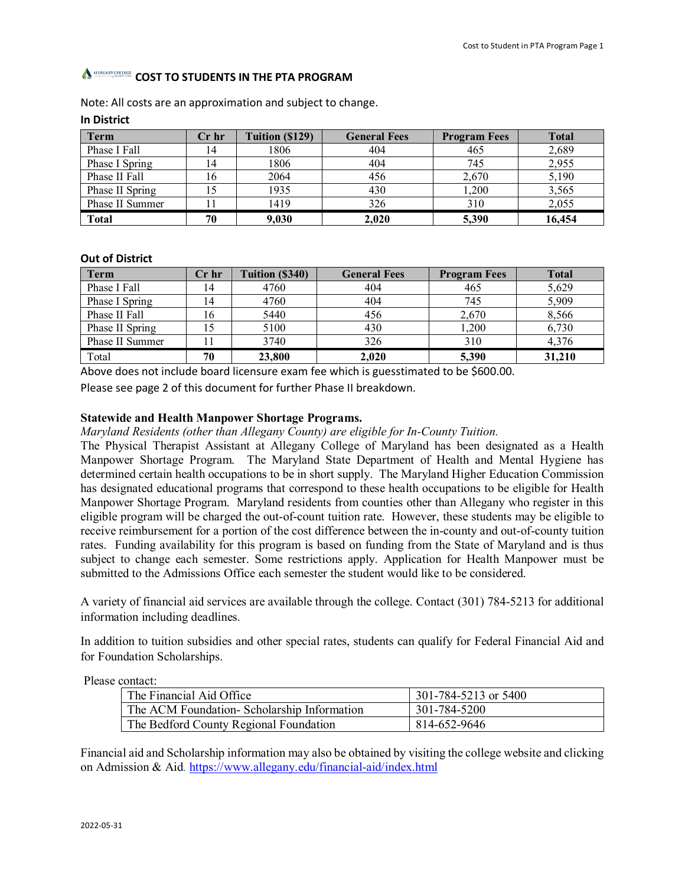## **A ALLIEGRY COUST TO STUDENTS IN THE PTA PROGRAM**

Note: All costs are an approximation and subject to change.

| <b>Term</b>     | Cr hr | Tuition (\$129) | <b>General Fees</b> | <b>Program Fees</b> | <b>Total</b> |
|-----------------|-------|-----------------|---------------------|---------------------|--------------|
| Phase I Fall    | 14    | 1806            | 404                 | 465                 | 2,689        |
| Phase I Spring  | 14    | 1806            | 404                 | 745                 | 2,955        |
| Phase II Fall   | 16    | 2064            | 456                 | 2,670               | 5,190        |
| Phase II Spring |       | 1935            | 430                 | 1,200               | 3,565        |
| Phase II Summer |       | 1419            | 326                 | 310                 | 2,055        |
| <b>Total</b>    | 70    | 9,030           | 2,020               | 5,390               | 16,454       |

## **Out of District**

| <b>Term</b>     | $Cr$ hr | Tuition (\$340) | <b>General Fees</b> | <b>Program Fees</b> | <b>Total</b> |
|-----------------|---------|-----------------|---------------------|---------------------|--------------|
| Phase I Fall    | 14      | 4760            | 404                 | 465                 | 5,629        |
| Phase I Spring  | 14      | 4760            | 404                 | 745                 | 5,909        |
| Phase II Fall   | 16      | 5440            | 456                 | 2,670               | 8,566        |
| Phase II Spring | 15      | 5100            | 430                 | 1,200               | 6,730        |
| Phase II Summer |         | 3740            | 326                 | 310                 | 4,376        |
| Total           | 70      | 23,800          | 2.020               | 5,390               | 31,210       |

Above does not include board licensure exam fee which is guesstimated to be \$600.00.

Please see page 2 of this document for further Phase II breakdown.

## **Statewide and Health Manpower Shortage Programs.**

*Maryland Residents (other than Allegany County) are eligible for In-County Tuition.* 

 Manpower Shortage Program. The Maryland State Department of Health and Mental Hygiene has determined certain health occupations to be in short supply. The Maryland Higher Education Commission Manpower Shortage Program. Maryland residents from counties other than Allegany who register in this subject to change each semester. Some restrictions apply. Application for Health Manpower must be The Physical Therapist Assistant at Allegany College of Maryland has been designated as a Health has designated educational programs that correspond to these health occupations to be eligible for Health eligible program will be charged the out-of-count tuition rate. However, these students may be eligible to receive reimbursement for a portion of the cost difference between the in-county and out-of-county tuition rates. Funding availability for this program is based on funding from the State of Maryland and is thus submitted to the Admissions Office each semester the student would like to be considered.

A variety of financial aid services are available through the college. Contact (301) 784-5213 for additional information including deadlines.

 for Foundation Scholarships. Please contact: In addition to tuition subsidies and other special rates, students can qualify for Federal Financial Aid and

| ------------                               |                      |  |  |  |
|--------------------------------------------|----------------------|--|--|--|
| The Financial Aid Office                   | 301-784-5213 or 5400 |  |  |  |
| The ACM Foundation-Scholarship Information | 301-784-5200         |  |  |  |
| The Bedford County Regional Foundation     | 814-652-9646         |  |  |  |

 Financial aid and Scholarship information may also be obtained by visiting the college website and clicking on Admission & Aid.<https://www.allegany.edu/financial-aid/index.html>